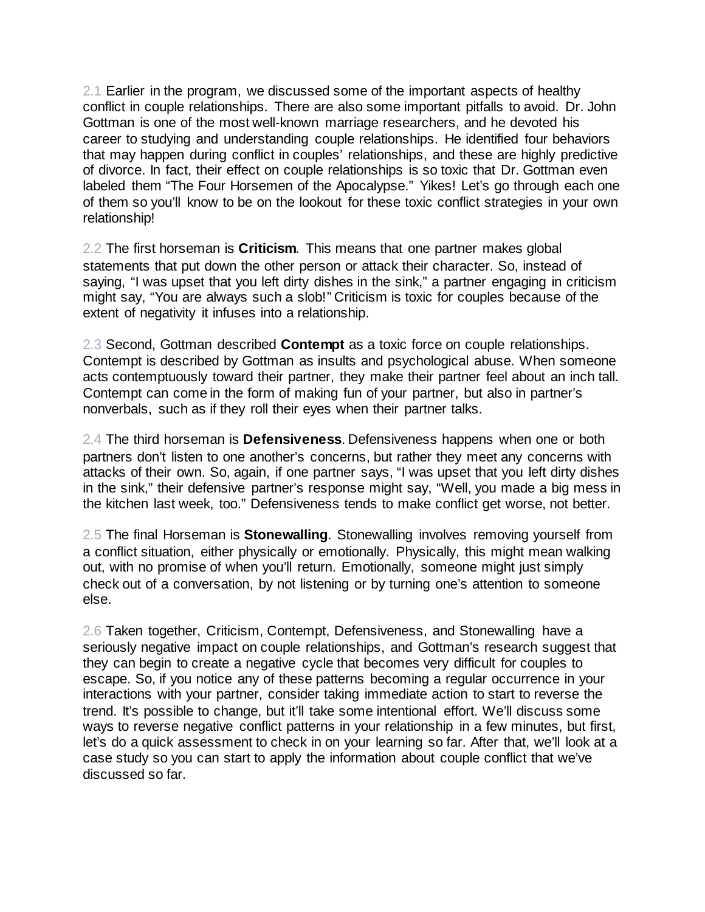2.1 Earlier in the program, we discussed some of the important aspects of healthy conflict in couple relationships. There are also some important pitfalls to avoid. Dr. John Gottman is one of the most well-known marriage researchers, and he devoted his career to studying and understanding couple relationships. He identified four behaviors that may happen during conflict in couples' relationships, and these are highly predictive of divorce. In fact, their effect on couple relationships is so toxic that Dr. Gottman even labeled them "The Four Horsemen of the Apocalypse." Yikes! Let's go through each one of them so you'll know to be on the lookout for these toxic conflict strategies in your own relationship!

2.2 The first horseman is **Criticism**. This means that one partner makes global statements that put down the other person or attack their character. So, instead of saying, "I was upset that you left dirty dishes in the sink," a partner engaging in criticism might say, "You are always such a slob!" Criticism is toxic for couples because of the extent of negativity it infuses into a relationship.

2.3 Second, Gottman described **Contempt** as a toxic force on couple relationships. Contempt is described by Gottman as insults and psychological abuse. When someone acts contemptuously toward their partner, they make their partner feel about an inch tall. Contempt can come in the form of making fun of your partner, but also in partner's nonverbals, such as if they roll their eyes when their partner talks.

2.4 The third horseman is **Defensiveness**. Defensiveness happens when one or both partners don't listen to one another's concerns, but rather they meet any concerns with attacks of their own. So, again, if one partner says, "I was upset that you left dirty dishes in the sink," their defensive partner's response might say, "Well, you made a big mess in the kitchen last week, too." Defensiveness tends to make conflict get worse, not better.

2.5 The final Horseman is **Stonewalling**. Stonewalling involves removing yourself from a conflict situation, either physically or emotionally. Physically, this might mean walking out, with no promise of when you'll return. Emotionally, someone might just simply check out of a conversation, by not listening or by turning one's attention to someone else.

2.6 Taken together, Criticism, Contempt, Defensiveness, and Stonewalling have a seriously negative impact on couple relationships, and Gottman's research suggest that they can begin to create a negative cycle that becomes very difficult for couples to escape. So, if you notice any of these patterns becoming a regular occurrence in your interactions with your partner, consider taking immediate action to start to reverse the trend. It's possible to change, but it'll take some intentional effort. We'll discuss some ways to reverse negative conflict patterns in your relationship in a few minutes, but first, let's do a quick assessment to check in on your learning so far. After that, we'll look at a case study so you can start to apply the information about couple conflict that we've discussed so far.